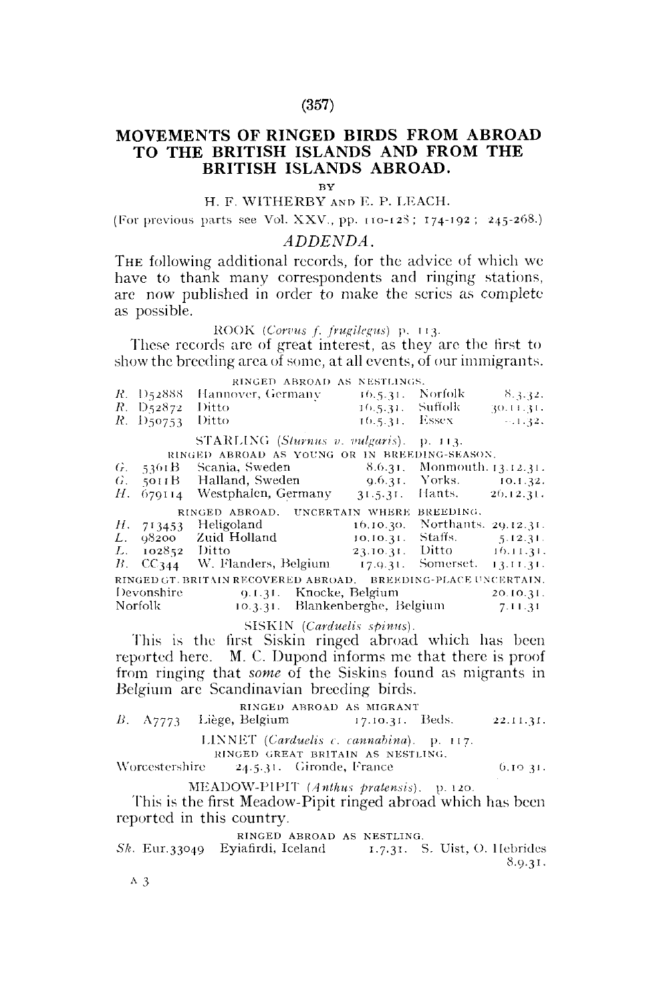## **(357)**

# **MOVEMENTS OF RINGED BIRDS FROM ABROAD TO THE BRITISH ISLANDS AND FROM THE BRITISH ISLANDS ABROAD.**

BY

## H. F. WITHERBY AND E. P. LEACH.

(For previous parts see Vol. XXV., pp.  $110-123$ ;  $174-192$ ;  $245-268$ .)

## *ADDENDA.*

THE following additional records, for the advice of which we have to thank many correspondents and ringing stations, are now published in order to make the series as complete as possible.

ROO K *(Corvus f. frugilegus)* p. 113.

These records are of great interest, as they are the first to show the breeding area of some, at all events, of our immigrants.

|             |                          | RINGED ABROAD AS NESTLINGS.                                  |                  |                                  |           |
|-------------|--------------------------|--------------------------------------------------------------|------------------|----------------------------------|-----------|
|             | $R.$ D <sub>5</sub> 2888 | Hannover, Germany                                            | 16.5.31.         | Norfolk-                         | 8,3,32,   |
|             | $R. \; D_52872$          | Ditto                                                        | 16.5.31. Suffolk |                                  | 30.11.31. |
|             | $R.$ D50753              | Ditto                                                        | 16.5.31. Essex   |                                  | $-1.32.$  |
|             |                          | STARLING (Sturnus v. vulgaris).                              |                  | p. 113.                          |           |
|             |                          | RINGED ABROAD AS YOUNG OR IN BREEDING-SEASON.                |                  |                                  |           |
| $\hat{r}$ . | 5361B                    | Scania, Sweden                                               |                  | 8.6.31. Monmouth. 13.12.31.      |           |
| G.          |                          |                                                              |                  |                                  | 10.1.32.  |
| Н.          |                          | $679114$ Westphalen, Germany $31.5.31$ . Hants. $26.12.31$ . |                  |                                  |           |
|             |                          | RINGED ABROAD. UNCERTAIN WHERE BREEDING.                     |                  |                                  |           |
|             | H. 713453                | Heligoland                                                   | 10.10.30.        | Northants. 29.12.31.             |           |
| L.          | 98200                    | Zuid Holland                                                 |                  | $10.10.31$ , Staffs, $5.12.31$ . |           |
| L.          | 102852                   | Ditto                                                        |                  | 23.10.31. Ditto 16.11.31.        |           |
| $B_{\rm c}$ |                          | $CC344$ W. Flanders, Belgium $17,9.31$ . Somerset. 13.11.31. |                  |                                  |           |
|             |                          | RINGED GT. BRITAIN RECOVERED ABROAD.                         |                  | BREEDING-PLACE UNCERTAIN,        |           |
|             | Devonshire               | 9.1.31. Knocke, Belgium                                      |                  |                                  | 20.10.31. |
|             | Norfolk                  | 10.3.31. Blankenberghe, Belgium                              |                  |                                  | 7.11.31   |

SISKIN (Carduelis spinus).

This is the iirst Siskin ringed abroad which has been reported here. M. C. Dupond informs me that there is proof from ringing that *some* of the Siskins found as migrants in Belgium are Scandinavian breeding birds.

RINGED ABROAD AS MIGRANT *B.* A7773 Liège, Belgium 17.10.31. Beds. 22.11.31. LINNET (Carduelis c. cannabina). p. 117.

KINGED GREAT BRITAIN AS NESTLING.

Worcestershire  $24.5.31$ . Gironde, France 6.10 31.

MEADOW-PIPIT (Anthus pratensis). p. 120.

This is the first Meadow-Pipit ringed abroad which has been reported in this country.

RINGED ABROAD AS NESTLING.

Sk. Eur.33049 Eyiafirdi, Iceland 1.7.31. S. Uist, O. Hebrides 8.9.31.

A 3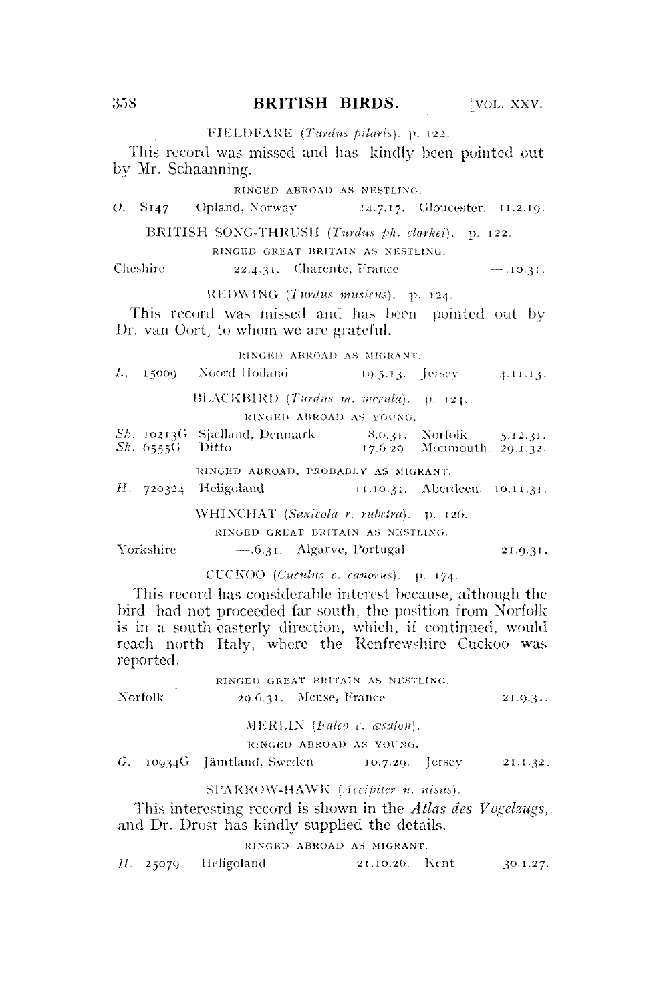358 **BRITISH BIRDS.** [VOL. XXV.]

## FIELDFARE (Turdus pilaris), p. 122.

This record was missed and has kindly been pointed out by Mr. Schaanning.

#### RINGED ABROAD AS NESTLING.

*O.* S<sub>147</sub> Opland, Norway 14.7.17. Gloucester. 11.2.19.

BRITISH SONG-THRUSH *(Turdus ph. clarkei). p.* 122.

RINGED GREAT BRITAIN AS NESTLING.

### Cheshire  $22.4.31$ . Charente, France  $-10.31$ .

REDWING *(Tardus musicus).* p. 124.

This record was missed and has been pointed out by Dr. van Oort, to whom we are grateful.

### RINGED ABROAD AS MIGRANT.

|                   | $L_{\rm *}$ =15000 $-$ Noord Holland                      | $19.5.13.$ [ersev $4.11.13.$  |          |
|-------------------|-----------------------------------------------------------|-------------------------------|----------|
|                   | BLACKBIRD (Turdus m. merula). p. 124.                     |                               |          |
|                   | RINGED ABROAD AS YOUNG.                                   |                               |          |
| $Sk. 6555G$ Ditto | Sk. 10213G Sjælland, Denmark — 8.6.31. Norfolk — 5.12.31. | 17.6.29. Monmouth. 29.1.32.   |          |
|                   | RINGED ABROAD, PROBABLY AS MIGRANT.                       |                               |          |
|                   | $H$ , 720324 Heligoland                                   | 11.10.31. Aberdeen. 10.11.31. |          |
|                   | WHINCHAT (Saxicola r. rubetra). p. 126.                   |                               |          |
|                   | RINGED GREAT BRITAIN AS NESTLING.                         |                               |          |
| Yorkshire         | $-.6.31.$ Algarve, Portugal                               |                               | 21.9.31. |

CUCKOO *(Cuculus c. canorus).* p. 174.

This record has considerable interest because, although the bird had not proceeded far south, the position from Norfolk is in a south-easterly direction, which, if continued, would reach north Italy, where the Renfrewshire Cuckoo was reported.

|         | RINGED GREAT BRITAIN AS NESTLING.    |                    |          |  |
|---------|--------------------------------------|--------------------|----------|--|
| Norfolk | $29.6.31.$ Meuse, France             |                    | 21.9.31. |  |
|         | $MERL1N$ ( <i>Falco c. asalon</i> ). |                    |          |  |
|         | RINGED ABROAD AS YOUNG.              |                    |          |  |
|         | G. 10934G Jämtland, Sweden           | $10.7.29.$ [ersev] | 21.1.32. |  |

### SPARROW-HAWK (Accipiter n. nisus).

This interesting record is shown in the *Atlas des Vogelzugs,*  and Dr. Drost has kindly supplied the details.

### RINGED ABROAD AS MIGRANT.

| H. 25079 |  | Heligoland | 21,10,26. Kent |  | 30.1.27. |
|----------|--|------------|----------------|--|----------|
|----------|--|------------|----------------|--|----------|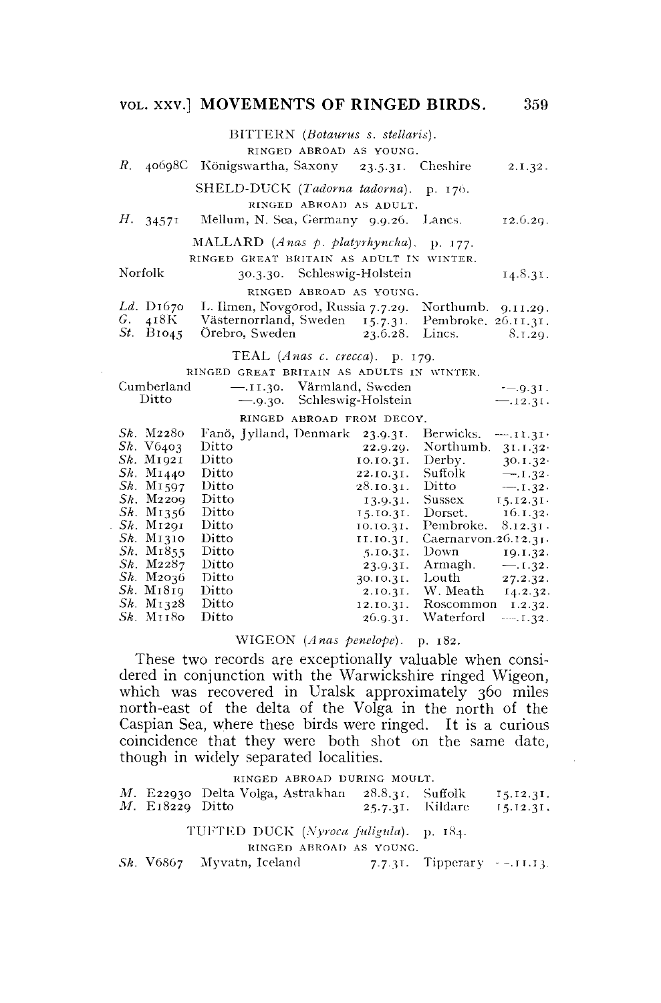## **VOL.** xxv] **MOVEMENTS OF RINGED BIRDS.** 359

BITTERN *(Botaurus s. stellaris).* 

RINGED ABROAD AS YOUNG.

|  |  | <i>R. 4</i> 0698C Königswartha, Saxony- |  | 23.5.31. | Cheshire | 2.1.32. |
|--|--|-----------------------------------------|--|----------|----------|---------|
|--|--|-----------------------------------------|--|----------|----------|---------|

SHELD-DUCK *(Tadorna tadorna).* p. 176. RINGED ABROAD AS ADULT.

*H.* 34571 Mellum, N. Sea, Germany 9.9.26. Lancs. 12.6.29.

MALLARD *(Anas p. platyrhyncha).* p. 177. RINGED GREAT BRITAIN AS ADULT IN WINTER.

Norfolk 30.3.30. Schleswig-Holstein 14.8.31.

#### RINGED ABROAD AS YOUNG.

|  | Ld. D1670 L. Ilmen, Novgorod, Russia 7.7.29. Northumb. $9.11.29$ . |                 |         |
|--|--------------------------------------------------------------------|-----------------|---------|
|  | G. 418K Västernorrland, Sweden 15.7.31. Pembroke. 26.11.31.        |                 |         |
|  | <i>St.</i> B1045 Orebro, Sweden                                    | 23.6.28. Lincs. | 8.1.29. |

TEAL (Anas c. crecca). p. 179.

| RINGED GREAT BRITAIN AS ADULTS IN WINTER. |                        |                           |                    |                          |            |
|-------------------------------------------|------------------------|---------------------------|--------------------|--------------------------|------------|
| Cumberland                                | $-.11.30.$             |                           | Värmland, Sweden   |                          | $-9.31.$   |
| Ditto                                     | $-9.30.$               |                           | Schleswig-Holstein |                          | $-.12.31.$ |
|                                           |                        | RINGED ABROAD FROM DECOY. |                    |                          |            |
| <i>Sk.</i> M2280                          | Fanö, Jylland, Denmark |                           | 23.9.31.           | Berwicks.                | $-.11.31.$ |
| Sk. V6403                                 | Ditto                  |                           | 22.9.20.           | Northumb.                | 31.1.32    |
| $Sk$ . M <sub>1921</sub>                  | Ditto                  |                           | 10.10.31.          | Derby.                   | 30.1.32    |
| $Sk$ . M <sub>1440</sub>                  | Ditto                  |                           | 22.10.31.          | Suffolk                  | $-.1.32.$  |
| $Sk$ . M <sub>1597</sub>                  | Ditto                  |                           | 28.10.31.          | Ditto                    | $-.1.32.$  |
| $Sk$ . $M2209$                            | Ditto                  |                           | 13.9.31.           | Sussex                   | 15.12.31   |
| $Sk$ . M <sub>1356</sub>                  | Ditto                  |                           | 15.10.31.          | Dorset.                  | 16.1.32.   |
| $Sk$ M <sub>1291</sub>                    | Ditto                  |                           | 10.10.31.          | Pembroke.                | 8.12.31.   |
| $Sk$ . M <sub>1310</sub>                  | Ditto                  |                           | 11.10.31.          | Caernarvon. $26.12.31$ . |            |
| $Sk$ . M <sub>1855</sub>                  | Ditto                  |                           | 5.10.31.           | Down                     | 19.1.32.   |
| $Sk$ . $M2287$                            | Ditto                  |                           | 23.9.31.           | Armagh.                  | $-.1.32.$  |
| $Sk$ . M <sub>2</sub> $036$               | Ditto                  |                           | 30.10.31.          | Louth                    | 27.2.32.   |
| $Sk$ . M <sub>1</sub> 8 <sub>19</sub>     | Ditto                  |                           | 2.10.31.           | W. Meath                 | 14.2.32.   |
| $Sk$ . M <sub>1328</sub>                  | Ditto                  |                           | 12.10.31.          | Roscommon                | 1.2.32.    |
| $Sk$ . M $1180$                           | Ditto                  |                           | 26.9.31.           | Waterford                | $-1.32.$   |

### WIGEON *(Anas penelope).* p. 182.

These two records are exceptionally valuable when considered in conjunction with the Warwickshire ringed Wigeon, which was recovered in Uralsk approximately 360 miles north-east of the delta of the Volga in the north of the Caspian Sea, where these birds were ringed. It is a curious coincidence that they were both shot on the same date, though in widely separated localities.

#### RINGED ABROAD DURING MOULT.

|                   | M. E22930 Delta Volga, Astrakhan 28.8.31. Suffolk |                  | $I_5.12.31.$ |
|-------------------|---------------------------------------------------|------------------|--------------|
| $M.$ E18229 Ditto |                                                   | 25.7.31. Kildare | $15.12.31$ . |

## 184. TUFTED DUCK *(Xyroca fuligula).* p.

RINGED ABROAD AS YOUNG.

*Sk.* V6867 Myvatn, Iceland 7.7.31. Tipperary - -. 11.13.